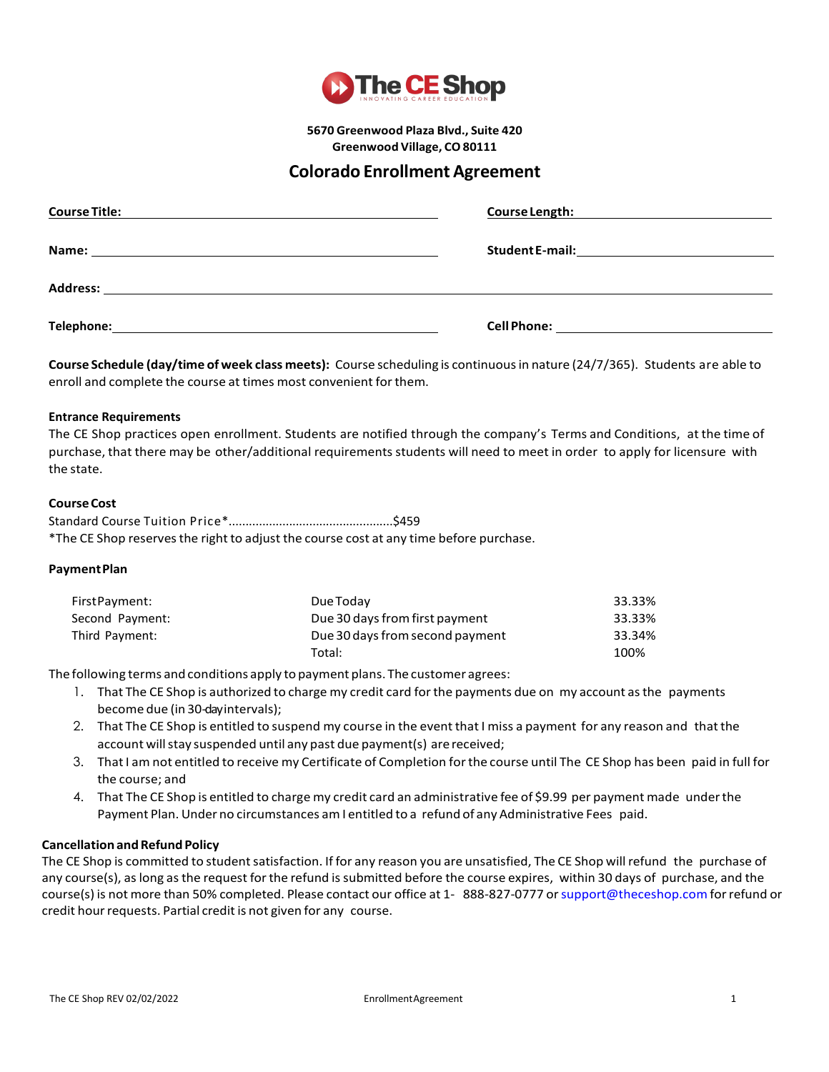

**5670 Greenwood Plaza Blvd., Suite 420 Greenwood Village, CO 80111**

# **Colorado Enrollment Agreement**

| <b>Course Title:</b> | <b>Course Length:</b>                                                                                                                                                                                                                |
|----------------------|--------------------------------------------------------------------------------------------------------------------------------------------------------------------------------------------------------------------------------------|
|                      | <u> 1980 - Jan Samuel Barbara, martin da shekara 1980 - An an A</u>                                                                                                                                                                  |
| Name:                | <b>Student E-mail:</b>                                                                                                                                                                                                               |
|                      | <u>and the contract of the contract of the contract of the contract of the contract of the contract of the contract of the contract of the contract of the contract of the contract of the contract of the contract of the contr</u> |
| <b>Address:</b>      |                                                                                                                                                                                                                                      |
| Telephone:           | <b>Cell Phone:</b>                                                                                                                                                                                                                   |
|                      |                                                                                                                                                                                                                                      |

**Course Schedule (day/time of week class meets):** Course scheduling is continuousin nature (24/7/365). Students are able to enroll and complete the course at times most convenient for them.

### **Entrance Requirements**

The CE Shop practices open enrollment. Students are notified through the company's Terms and Conditions, at the time of purchase, that there may be other/additional requirements students will need to meet in order to apply for licensure with the state.

### **CourseCost**

Standard Course Tuition Price\*.................................................\$459 \*The CE Shop reservesthe right to adjust the course cost at any time before purchase.

### **PaymentPlan**

| First Payment:  | Due Today                       | 33.33% |
|-----------------|---------------------------------|--------|
| Second Payment: | Due 30 days from first payment  | 33.33% |
| Third Payment:  | Due 30 days from second payment | 33.34% |
|                 | Total:                          | 100%   |

The following terms and conditions apply to payment plans. The customer agrees:

- 1. That The CE Shop is authorized to charge my credit card forthe payments due on my account asthe payments become due (in 30-dayintervals);
- 2. That The CE Shop is entitled to suspend my course in the event that I miss a payment for any reason and thatthe account will stay suspended until any past due payment(s) are received;
- 3. ThatI am not entitled to receive my Certificate of Completion forthe course until The CE Shop has been paid in full for the course; and
- 4. That The CE Shop is entitled to charge my credit card an administrative fee of \$9.99 per payment made under the Payment Plan. Under no circumstances amI entitled to a refund of any Administrative Fees paid.

### **Cancellation andRefund Policy**

The CE Shop is committed to student satisfaction. If for any reason you are unsatisfied, The CE Shop will refund the purchase of any course(s), aslong asthe request forthe refund is submitted before the course expires, within 30 days of purchase, and the course(s) is not more than 50% completed. Please contact our office at 1-888-827-0777 or support@theceshop.com for refund or credit hour requests. Partial credit is not given for any course.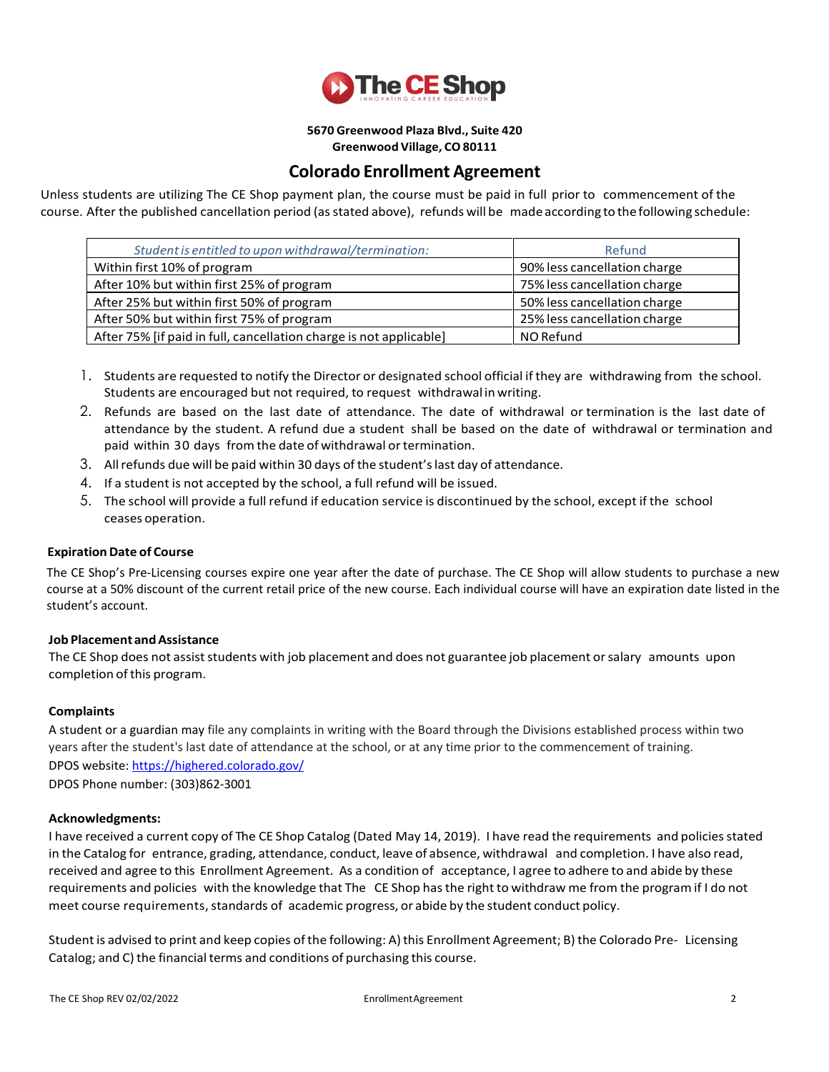

# **5670 Greenwood Plaza Blvd., Suite 420**

**Greenwood Village, CO 80111**

# **Colorado Enrollment Agreement**

Unless students are utilizing The CE Shop payment plan, the course must be paid in full prior to commencement of the course. After the published cancellation period (asstated above), refunds will be madeaccording to thefollowing schedule:

| Student is entitled to upon withdrawal/termination:                | Refund                       |
|--------------------------------------------------------------------|------------------------------|
| Within first 10% of program                                        | 90% less cancellation charge |
| After 10% but within first 25% of program                          | 75% less cancellation charge |
| After 25% but within first 50% of program                          | 50% less cancellation charge |
| After 50% but within first 75% of program                          | 25% less cancellation charge |
| After 75% [if paid in full, cancellation charge is not applicable] | NO Refund                    |

- 1. Students are requested to notify the Director or designated school official if they are withdrawing from the school. Students are encouraged but not required, to request withdrawal in writing.
- 2. Refunds are based on the last date of attendance. The date of withdrawal or termination is the last date of attendance by the student. A refund due a student shall be based on the date of withdrawal or termination and paid within 30 days from the date of withdrawal or termination.
- 3. Allrefunds due will be paid within 30 days ofthe student'slast day of attendance.
- 4. If a student is not accepted by the school, a full refund will be issued.
- 5. The school will provide a full refund if education service is discontinued by the school, except if the school ceases operation.

## **Expiration Date of Course**

The CE Shop's Pre-Licensing courses expire one year after the date of purchase. The CE Shop will allow students to purchase a new course at a 50% discount of the current retail price of the new course. Each individual course will have an expiration date listed in the student's account.

### **Job Placement andAssistance**

The CE Shop does not assist students with job placement and does not guarantee job placement or salary amounts upon completion of this program.

## **Complaints**

A student or a guardian may file any complaints in writing with the Board through the Divisions established process within two years after the student's last date of attendance at the school, or at any time prior to the commencement of training. DPOS website[: https://highered.colorado.gov/](https://highered.colorado.gov/) DPOS Phone number: (303)862-3001

### **Acknowledgments:**

I have received a current copy of The CE Shop Catalog (Dated May 14, 2019). I have read the requirements and policiesstated in the Catalog for entrance, grading, attendance, conduct, leave of absence, withdrawal and completion. I have also read, received and agree to this Enrollment Agreement. As a condition of acceptance, I agree to adhere to and abide by these requirements and policies with the knowledge that The CE Shop hasthe right to withdraw me from the program if I do not meet course requirements, standards of academic progress, or abide by the student conduct policy.

Student is advised to print and keep copies of the following: A) this Enrollment Agreement; B) the Colorado Pre- Licensing Catalog; and C) the financial terms and conditions of purchasing this course.